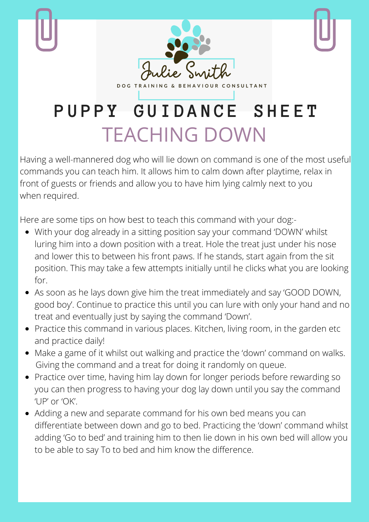

TEACHING DOWN

Having a well-mannered dog who will lie down on command is one of the most useful commands you can teach him. It allows him to calm down after playtime, relax in front of guests or friends and allow you to have him lying calmly next to you when required.

Here are some tips on how best to teach this command with your dog:-

- With your dog already in a sitting position say your command 'DOWN' whilst luring him into a down position with a treat. Hole the treat just under his nose and lower this to between his front paws. If he stands, start again from the sit position. This may take a few attempts initially until he clicks what you are looking for.
- As soon as he lays down give him the treat immediately and say 'GOOD DOWN, good boy'. Continue to practice this until you can lure with only your hand and no treat and eventually just by saying the command 'Down'.
- Practice this command in various places. Kitchen, living room, in the garden etc and practice daily!
- Make a game of it whilst out walking and practice the 'down' command on walks. Giving the command and a treat for doing it randomly on queue.
- Practice over time, having him lay down for longer periods before rewarding so you can then progress to having your dog lay down until you say the command 'UP' or 'OK'.
- Adding a new and separate command for his own bed means you can differentiate between down and go to bed. Practicing the 'down' command whilst adding 'Go to bed' and training him to then lie down in his own bed will allow you to be able to say To to bed and him know the difference.